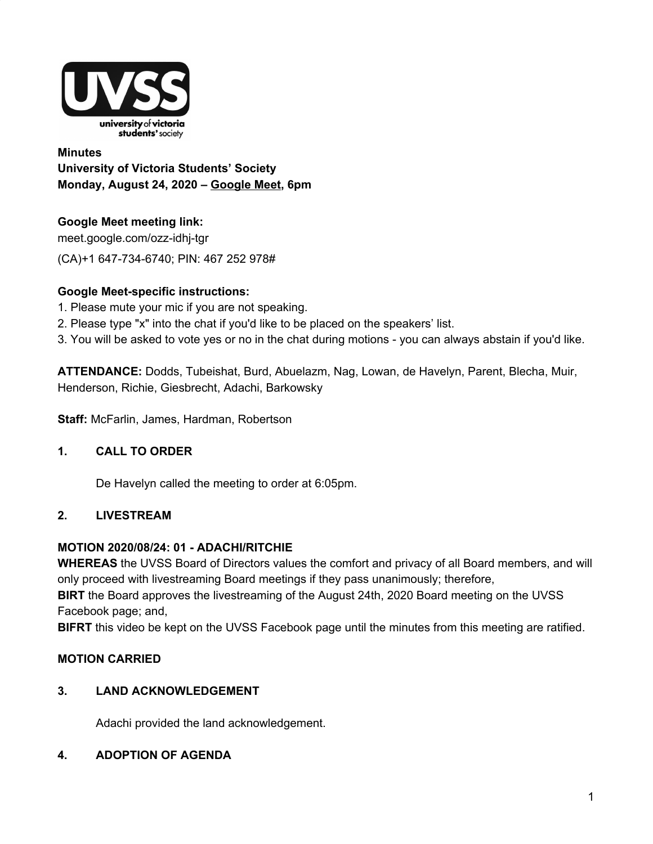

**Minutes University of Victoria Students' Society Monday, August 24, 2020 – Google Meet, 6pm**

# **Google Meet meeting link:**

meet.google.com/ozz-idhj-tgr (CA)+1 647-734-6740; PIN: 467 252 978#

## **Google Meet-specific instructions:**

- 1. Please mute your mic if you are not speaking.
- 2. Please type "x" into the chat if you'd like to be placed on the speakers' list.
- 3. You will be asked to vote yes or no in the chat during motions you can always abstain if you'd like.

**ATTENDANCE:** Dodds, Tubeishat, Burd, Abuelazm, Nag, Lowan, de Havelyn, Parent, Blecha, Muir, Henderson, Richie, Giesbrecht, Adachi, Barkowsky

**Staff:** McFarlin, James, Hardman, Robertson

# **1. CALL TO ORDER**

De Havelyn called the meeting to order at 6:05pm.

## **2. LIVESTREAM**

## **MOTION 2020/08/24: 01 - ADACHI/RITCHIE**

**WHEREAS** the UVSS Board of Directors values the comfort and privacy of all Board members, and will only proceed with livestreaming Board meetings if they pass unanimously; therefore,

**BIRT** the Board approves the livestreaming of the August 24th, 2020 Board meeting on the UVSS Facebook page; and,

**BIFRT** this video be kept on the UVSS Facebook page until the minutes from this meeting are ratified.

# **MOTION CARRIED**

## **3. LAND ACKNOWLEDGEMENT**

Adachi provided the land acknowledgement.

# **4. ADOPTION OF AGENDA**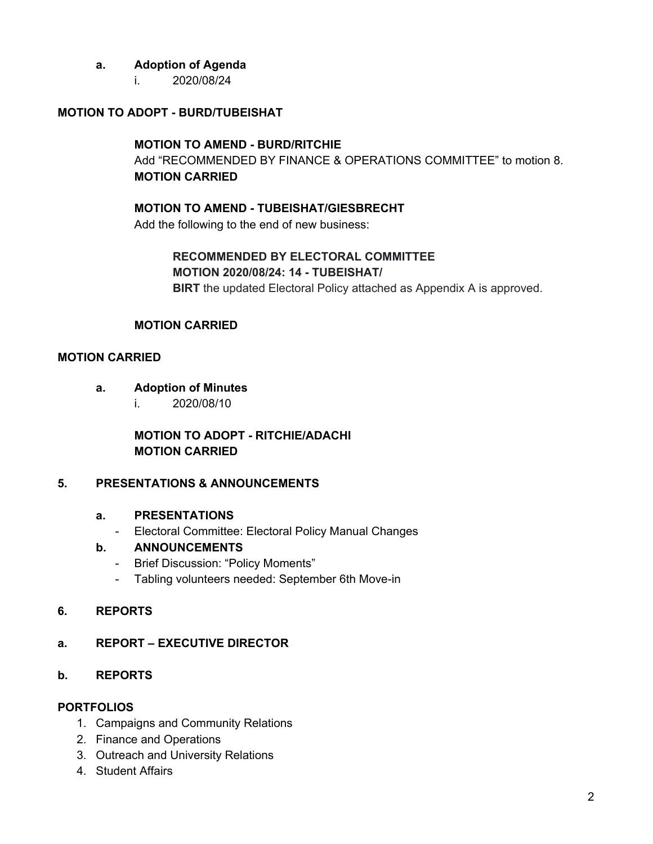## **a. Adoption of Agenda**

i. 2020/08/24

## **MOTION TO ADOPT - BURD/TUBEISHAT**

#### **MOTION TO AMEND - BURD/RITCHIE**

Add "RECOMMENDED BY FINANCE & OPERATIONS COMMITTEE" to motion 8. **MOTION CARRIED**

## **MOTION TO AMEND - TUBEISHAT/GIESBRECHT**

Add the following to the end of new business:

# **RECOMMENDED BY ELECTORAL COMMITTEE**

#### **MOTION 2020/08/24: 14 - TUBEISHAT/**

**BIRT** the updated Electoral Policy attached as Appendix A is approved.

### **MOTION CARRIED**

#### **MOTION CARRIED**

- **a. Adoption of Minutes**
	- i. 2020/08/10

**MOTION TO ADOPT - RITCHIE/ADACHI MOTION CARRIED**

## **5. PRESENTATIONS & ANNOUNCEMENTS**

#### **a. PRESENTATIONS**

- Electoral Committee: Electoral Policy Manual Changes

### **b. ANNOUNCEMENTS**

- Brief Discussion: "Policy Moments"
- Tabling volunteers needed: September 6th Move-in

#### **6. REPORTS**

## **a. REPORT – EXECUTIVE DIRECTOR**

### **b. REPORTS**

#### **PORTFOLIOS**

- 1. Campaigns and Community Relations
- 2. Finance and Operations
- 3. Outreach and University Relations
- 4. Student Affairs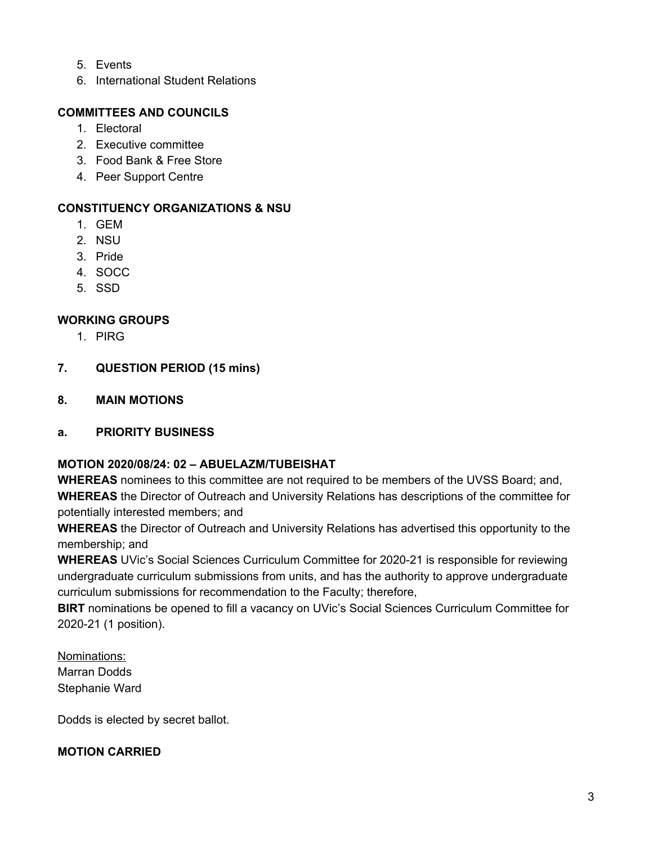- 5. Events
- 6. International Student Relations

## **COMMITTEES AND COUNCILS**

- 1. Electoral
- 2. Executive committee
- 3. Food Bank & Free Store
- 4. Peer Support Centre

## **CONSTITUENCY ORGANIZATIONS & NSU**

- 1. GEM
- 2. NSU
- 3. Pride
- 4. SOCC
- 5. SSD

## **WORKING GROUPS**

- 1. PIRG
- **7. QUESTION PERIOD (15 mins)**
- **8. MAIN MOTIONS**

## **a. PRIORITY BUSINESS**

## **MOTION 2020/08/24: 02 – ABUELAZM/TUBEISHAT**

**WHEREAS** nominees to this committee are not required to be members of the UVSS Board; and, **WHEREAS** the Director of Outreach and University Relations has descriptions of the committee for potentially interested members; and

**WHEREAS** the Director of Outreach and University Relations has advertised this opportunity to the membership; and

**WHEREAS** UVic's Social Sciences Curriculum Committee for 2020-21 is responsible for reviewing undergraduate curriculum submissions from units, and has the authority to approve undergraduate curriculum submissions for recommendation to the Faculty; therefore,

**BIRT** nominations be opened to fill a vacancy on UVic's Social Sciences Curriculum Committee for 2020-21 (1 position).

Nominations: Marran Dodds Stephanie Ward

Dodds is elected by secret ballot.

## **MOTION CARRIED**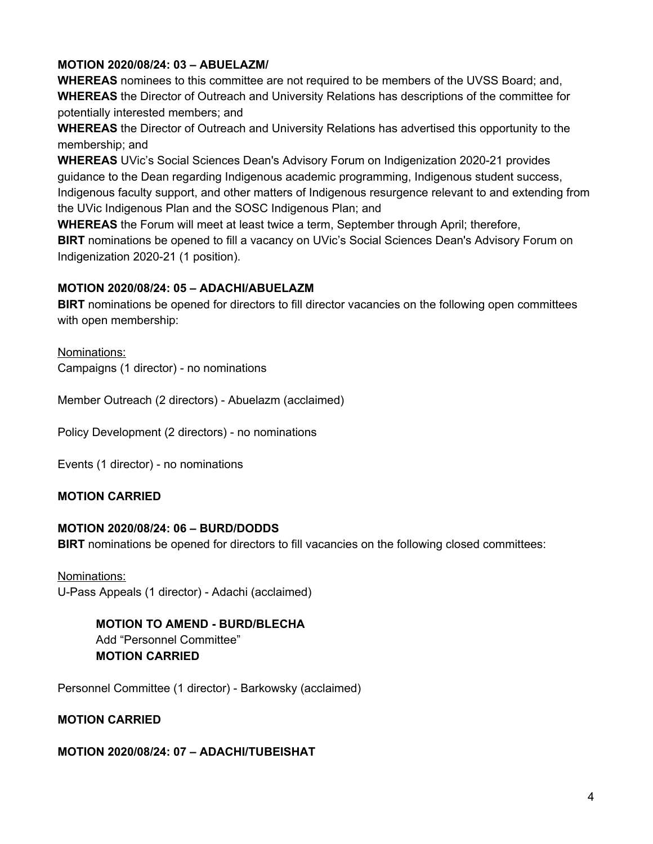## **MOTION 2020/08/24: 03 – ABUELAZM/**

**WHEREAS** nominees to this committee are not required to be members of the UVSS Board; and, **WHEREAS** the Director of Outreach and University Relations has descriptions of the committee for potentially interested members; and

**WHEREAS** the Director of Outreach and University Relations has advertised this opportunity to the membership; and

**WHEREAS** UVic's Social Sciences Dean's Advisory Forum on Indigenization 2020-21 provides guidance to the Dean regarding Indigenous academic programming, Indigenous student success, Indigenous faculty support, and other matters of Indigenous resurgence relevant to and extending from the UVic Indigenous Plan and the SOSC Indigenous Plan; and

**WHEREAS** the Forum will meet at least twice a term, September through April; therefore, **BIRT** nominations be opened to fill a vacancy on UVic's Social Sciences Dean's Advisory Forum on Indigenization 2020-21 (1 position).

### **MOTION 2020/08/24: 05 – ADACHI/ABUELAZM**

**BIRT** nominations be opened for directors to fill director vacancies on the following open committees with open membership:

Nominations: Campaigns (1 director) - no nominations

Member Outreach (2 directors) - Abuelazm (acclaimed)

Policy Development (2 directors) - no nominations

Events (1 director) - no nominations

## **MOTION CARRIED**

#### **MOTION 2020/08/24: 06 – BURD/DODDS**

**BIRT** nominations be opened for directors to fill vacancies on the following closed committees:

Nominations: U-Pass Appeals (1 director) - Adachi (acclaimed)

> **MOTION TO AMEND - BURD/BLECHA** Add "Personnel Committee"

#### **MOTION CARRIED**

Personnel Committee (1 director) - Barkowsky (acclaimed)

## **MOTION CARRIED**

#### **MOTION 2020/08/24: 07 – ADACHI/TUBEISHAT**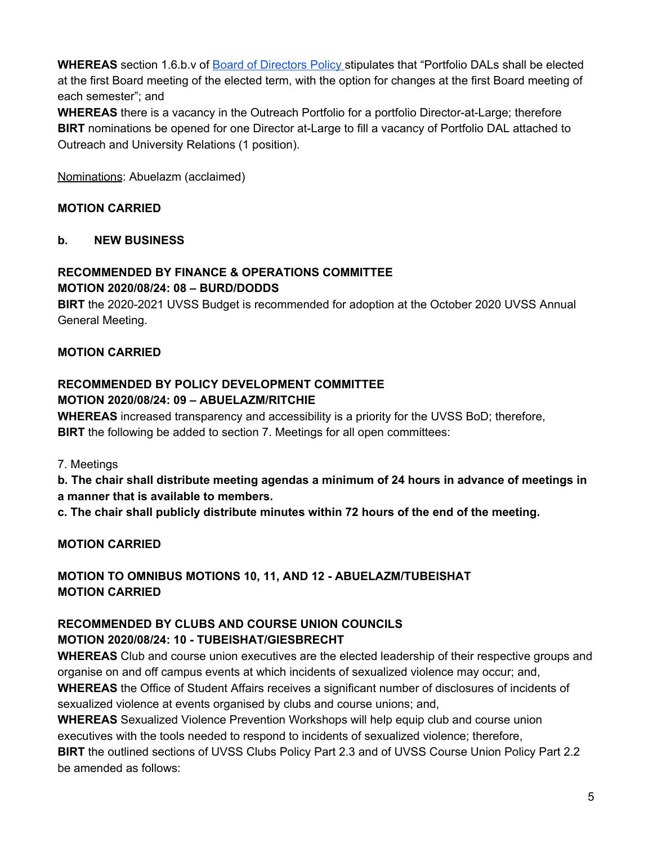WHEREAS section 1.6.b.v of **Board of Directors Policy** stipulates that "Portfolio DALs shall be elected at the first Board meeting of the elected term, with the option for changes at the first Board meeting of each semester"; and

**WHEREAS** there is a vacancy in the Outreach Portfolio for a portfolio Director-at-Large; therefore **BIRT** nominations be opened for one Director at-Large to fill a vacancy of Portfolio DAL attached to Outreach and University Relations (1 position).

Nominations: Abuelazm (acclaimed)

## **MOTION CARRIED**

### **b. NEW BUSINESS**

### **RECOMMENDED BY FINANCE & OPERATIONS COMMITTEE MOTION 2020/08/24: 08 – BURD/DODDS**

**BIRT** the 2020-2021 UVSS Budget is recommended for adoption at the October 2020 UVSS Annual General Meeting.

## **MOTION CARRIED**

## **RECOMMENDED BY POLICY DEVELOPMENT COMMITTEE MOTION 2020/08/24: 09 – ABUELAZM/RITCHIE**

**WHEREAS** increased transparency and accessibility is a priority for the UVSS BoD; therefore, **BIRT** the following be added to section 7. Meetings for all open committees:

7. Meetings

**b. The chair shall distribute meeting agendas a minimum of 24 hours in advance of meetings in a manner that is available to members.**

**c. The chair shall publicly distribute minutes within 72 hours of the end of the meeting.**

# **MOTION CARRIED**

**MOTION TO OMNIBUS MOTIONS 10, 11, AND 12 - ABUELAZM/TUBEISHAT MOTION CARRIED**

# **RECOMMENDED BY CLUBS AND COURSE UNION COUNCILS MOTION 2020/08/24: 10 - TUBEISHAT/GIESBRECHT**

**WHEREAS** Club and course union executives are the elected leadership of their respective groups and organise on and off campus events at which incidents of sexualized violence may occur; and, **WHEREAS** the Office of Student Affairs receives a significant number of disclosures of incidents of

sexualized violence at events organised by clubs and course unions; and,

**WHEREAS** Sexualized Violence Prevention Workshops will help equip club and course union executives with the tools needed to respond to incidents of sexualized violence; therefore, **BIRT** the outlined sections of UVSS Clubs Policy Part 2.3 and of UVSS Course Union Policy Part 2.2 be amended as follows: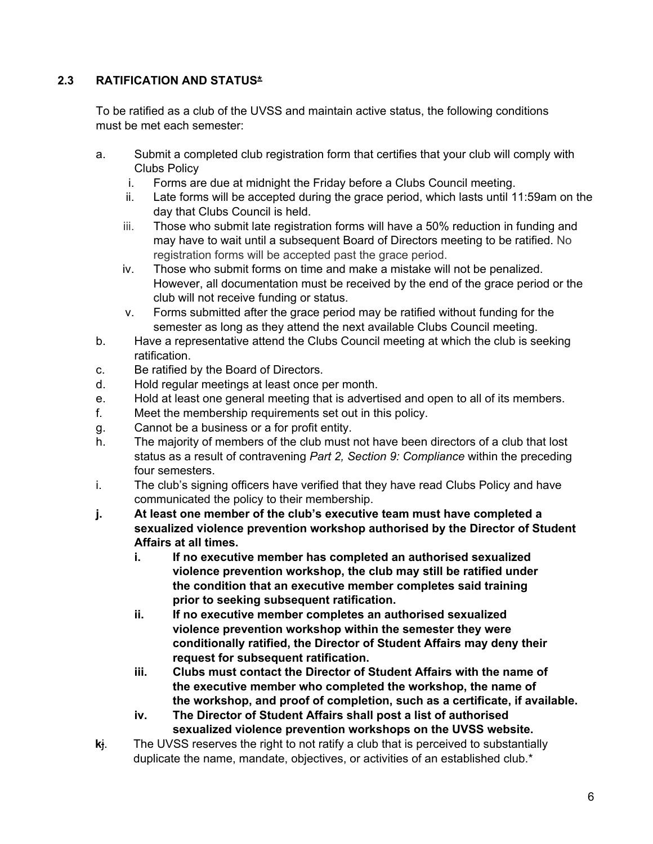## **2.3 RATIFICATION AND STATUS\***

To be ratified as a club of the UVSS and maintain active status, the following conditions must be met each semester:

- a. Submit a completed club registration form that certifies that your club will comply with Clubs Policy
	- i. Forms are due at midnight the Friday before a Clubs Council meeting.
	- ii. Late forms will be accepted during the grace period, which lasts until 11:59am on the day that Clubs Council is held.
	- iii. Those who submit late registration forms will have a 50% reduction in funding and may have to wait until a subsequent Board of Directors meeting to be ratified. No registration forms will be accepted past the grace period.
	- iv. Those who submit forms on time and make a mistake will not be penalized. However, all documentation must be received by the end of the grace period or the club will not receive funding or status.
	- v. Forms submitted after the grace period may be ratified without funding for the semester as long as they attend the next available Clubs Council meeting.
- b. Have a representative attend the Clubs Council meeting at which the club is seeking ratification.
- c. Be ratified by the Board of Directors.
- d. Hold regular meetings at least once per month.
- e. Hold at least one general meeting that is advertised and open to all of its members.
- f. Meet the membership requirements set out in this policy.
- g. Cannot be a business or a for profit entity.
- h. The majority of members of the club must not have been directors of a club that lost status as a result of contravening *Part 2, Section 9: Compliance* within the preceding four semesters.
- i. The club's signing officers have verified that they have read Clubs Policy and have communicated the policy to their membership.
- **j. At least one member of the club's executive team must have completed a sexualized violence prevention workshop authorised by the Director of Student Affairs at all times.**
	- **i. If no executive member has completed an authorised sexualized violence prevention workshop, the club may still be ratified under the condition that an executive member completes said training prior to seeking subsequent ratification.**
	- **ii. If no executive member completes an authorised sexualized violence prevention workshop within the semester they were conditionally ratified, the Director of Student Affairs may deny their request for subsequent ratification.**
	- **iii. Clubs must contact the Director of Student Affairs with the name of the executive member who completed the workshop, the name of the workshop, and proof of completion, such as a certificate, if available.**
	- **iv. The Director of Student Affairs shall post a list of authorised sexualized violence prevention workshops on the UVSS website.**
- **k**j. The UVSS reserves the right to not ratify a club that is perceived to substantially duplicate the name, mandate, objectives, or activities of an established club.<sup>\*</sup>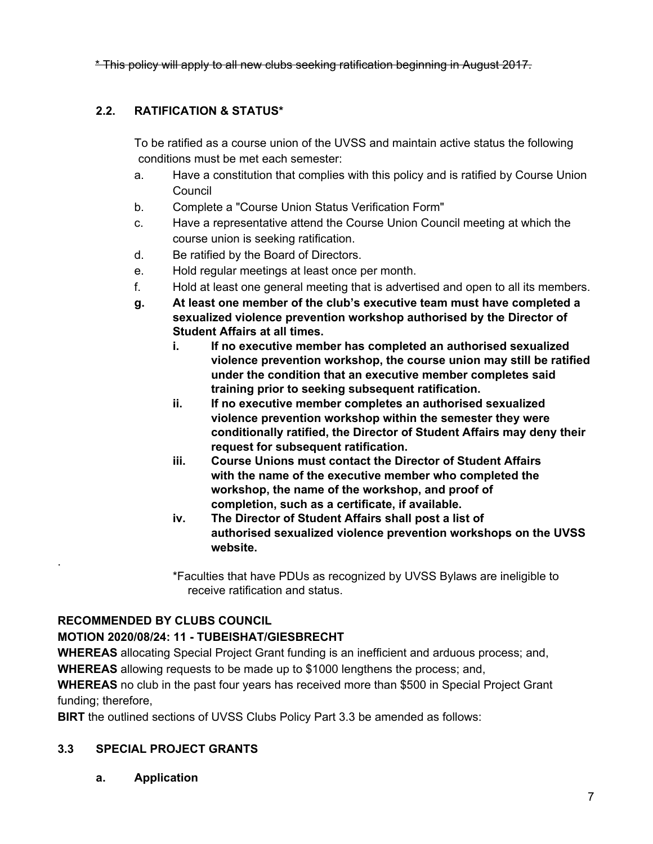\* This policy will apply to all new clubs seeking ratification beginning in August 2017.

# **2.2. RATIFICATION & STATUS\***

To be ratified as a course union of the UVSS and maintain active status the following conditions must be met each semester:

- a. Have a constitution that complies with this policy and is ratified by Course Union **Council**
- b. Complete a "Course Union Status Verification Form"
- c. Have a representative attend the Course Union Council meeting at which the course union is seeking ratification.
- d. Be ratified by the Board of Directors.
- e. Hold regular meetings at least once per month.
- f. Hold at least one general meeting that is advertised and open to all its members.
- **g. At least one member of the club's executive team must have completed a sexualized violence prevention workshop authorised by the Director of Student Affairs at all times.**
	- **i. If no executive member has completed an authorised sexualized violence prevention workshop, the course union may still be ratified under the condition that an executive member completes said training prior to seeking subsequent ratification.**
	- **ii. If no executive member completes an authorised sexualized violence prevention workshop within the semester they were conditionally ratified, the Director of Student Affairs may deny their request for subsequent ratification.**
	- **iii. Course Unions must contact the Director of Student Affairs with the name of the executive member who completed the workshop, the name of the workshop, and proof of completion, such as a certificate, if available.**
	- **iv. The Director of Student Affairs shall post a list of authorised sexualized violence prevention workshops on the UVSS website.**
	- \*Faculties that have PDUs as recognized by UVSS Bylaws are ineligible to receive ratification and status.

## **RECOMMENDED BY CLUBS COUNCIL**

.

# **MOTION 2020/08/24: 11 - TUBEISHAT/GIESBRECHT**

**WHEREAS** allocating Special Project Grant funding is an inefficient and arduous process; and, **WHEREAS** allowing requests to be made up to \$1000 lengthens the process; and,

**WHEREAS** no club in the past four years has received more than \$500 in Special Project Grant funding; therefore,

**BIRT** the outlined sections of UVSS Clubs Policy Part 3.3 be amended as follows:

## **3.3 SPECIAL PROJECT GRANTS**

**a. Application**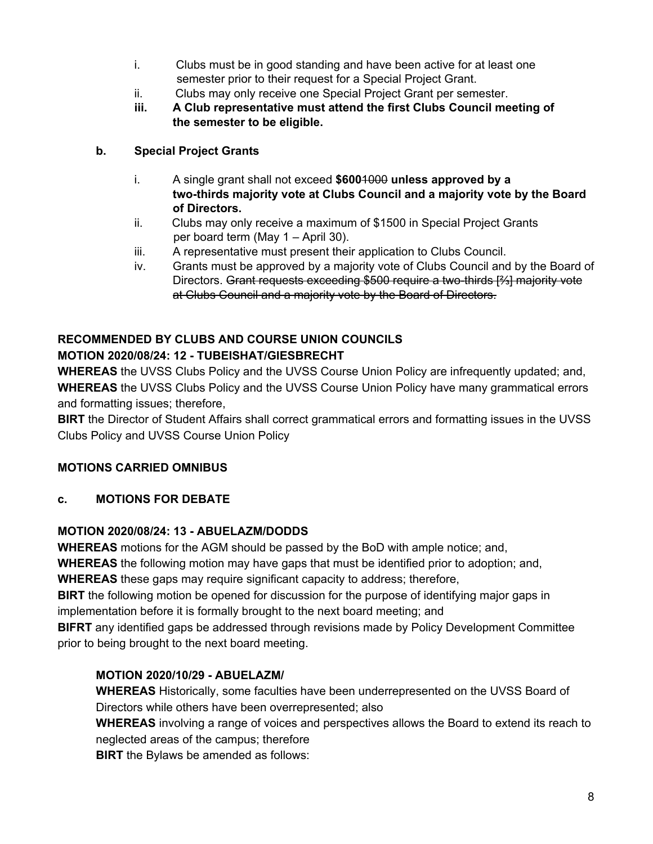- i. Clubs must be in good standing and have been active for at least one semester prior to their request for a Special Project Grant.
- ii. Clubs may only receive one Special Project Grant per semester.
- **iii. A Club representative must attend the first Clubs Council meeting of the semester to be eligible.**

## **b. Special Project Grants**

- i. A single grant shall not exceed **\$600**1000 **unless approved by a two-thirds majority vote at Clubs Council and a majority vote by the Board of Directors.**
- ii. Clubs may only receive a maximum of \$1500 in Special Project Grants per board term (May 1 – April 30).
- iii. A representative must present their application to Clubs Council.
- iv. Grants must be approved by a majority vote of Clubs Council and by the Board of Directors. Grant requests exceeding \$500 require a two-thirds [⅔] majority vote at Clubs Council and a majority vote by the Board of Directors.

# **RECOMMENDED BY CLUBS AND COURSE UNION COUNCILS MOTION 2020/08/24: 12 - TUBEISHAT/GIESBRECHT**

**WHEREAS** the UVSS Clubs Policy and the UVSS Course Union Policy are infrequently updated; and, **WHEREAS** the UVSS Clubs Policy and the UVSS Course Union Policy have many grammatical errors and formatting issues; therefore,

**BIRT** the Director of Student Affairs shall correct grammatical errors and formatting issues in the UVSS Clubs Policy and UVSS Course Union Policy

# **MOTIONS CARRIED OMNIBUS**

# **c. MOTIONS FOR DEBATE**

## **MOTION 2020/08/24: 13 - ABUELAZM/DODDS**

**WHEREAS** motions for the AGM should be passed by the BoD with ample notice; and,

**WHEREAS** the following motion may have gaps that must be identified prior to adoption; and,

**WHEREAS** these gaps may require significant capacity to address; therefore,

**BIRT** the following motion be opened for discussion for the purpose of identifying major gaps in implementation before it is formally brought to the next board meeting; and

**BIFRT** any identified gaps be addressed through revisions made by Policy Development Committee prior to being brought to the next board meeting.

# **MOTION 2020/10/29 - ABUELAZM/**

**WHEREAS** Historically, some faculties have been underrepresented on the UVSS Board of Directors while others have been overrepresented; also

**WHEREAS** involving a range of voices and perspectives allows the Board to extend its reach to neglected areas of the campus; therefore

**BIRT** the Bylaws be amended as follows: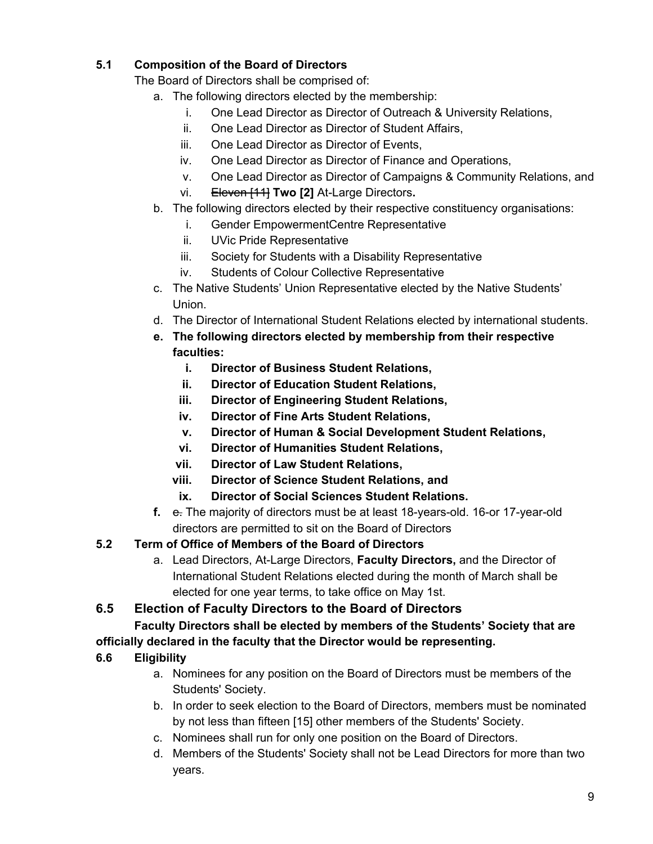# **5.1 Composition of the Board of Directors**

The Board of Directors shall be comprised of:

- a. The following directors elected by the membership:
	- i. One Lead Director as Director of Outreach & University Relations,
	- ii. One Lead Director as Director of Student Affairs,
	- iii. One Lead Director as Director of Events,
	- iv. One Lead Director as Director of Finance and Operations,
	- v. One Lead Director as Director of Campaigns & Community Relations, and
	- vi. Eleven [11] **Two [2]** At-Large Directors**.**
- b. The following directors elected by their respective constituency organisations:
	- i. Gender EmpowermentCentre Representative
	- ii. UVic Pride Representative
	- iii. Society for Students with a Disability Representative
	- iv. Students of Colour Collective Representative
- c. The Native Students' Union Representative elected by the Native Students' Union.
- d. The Director of International Student Relations elected by international students.
- **e. The following directors elected by membership from their respective faculties:**
	- **i. Director of Business Student Relations,**
	- **ii. Director of Education Student Relations,**
	- **iii. Director of Engineering Student Relations,**
	- **iv. Director of Fine Arts Student Relations,**
	- **v. Director of Human & Social Development Student Relations,**
	- **vi. Director of Humanities Student Relations,**
	- **vii. Director of Law Student Relations,**
	- **viii. Director of Science Student Relations, and**
	- **ix. Director of Social Sciences Student Relations.**
- **f.** e. The majority of directors must be at least 18-years-old. 16-or 17-year-old directors are permitted to sit on the Board of Directors
- **5.2 Term of Office of Members of the Board of Directors**
	- a. Lead Directors, At-Large Directors, **Faculty Directors,** and the Director of International Student Relations elected during the month of March shall be elected for one year terms, to take office on May 1st.

# **6.5 Election of Faculty Directors to the Board of Directors**

# **Faculty Directors shall be elected by members of the Students' Society that are officially declared in the faculty that the Director would be representing.**

- **6.6 Eligibility**
	- a. Nominees for any position on the Board of Directors must be members of the Students' Society.
	- b. In order to seek election to the Board of Directors, members must be nominated by not less than fifteen [15] other members of the Students' Society.
	- c. Nominees shall run for only one position on the Board of Directors.
	- d. Members of the Students' Society shall not be Lead Directors for more than two years.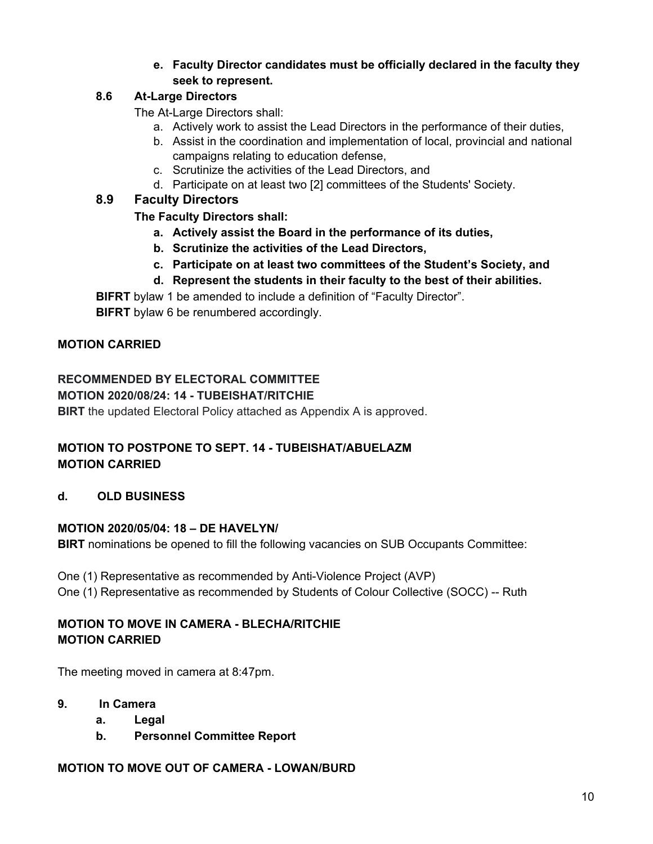## **e. Faculty Director candidates must be officially declared in the faculty they seek to represent.**

## **8.6 At-Large Directors**

The At-Large Directors shall:

- a. Actively work to assist the Lead Directors in the performance of their duties,
- b. Assist in the coordination and implementation of local, provincial and national campaigns relating to education defense,
- c. Scrutinize the activities of the Lead Directors, and
- d. Participate on at least two [2] committees of the Students' Society.

# **8.9 Faculty Directors**

## **The Faculty Directors shall:**

- **a. Actively assist the Board in the performance of its duties,**
- **b. Scrutinize the activities of the Lead Directors,**
- **c. Participate on at least two committees of the Student's Society, and**
- **d. Represent the students in their faculty to the best of their abilities.**

**BIFRT** bylaw 1 be amended to include a definition of "Faculty Director".

**BIFRT** bylaw 6 be renumbered accordingly.

# **MOTION CARRIED**

# **RECOMMENDED BY ELECTORAL COMMITTEE**

### **MOTION 2020/08/24: 14 - TUBEISHAT/RITCHIE**

**BIRT** the updated Electoral Policy attached as Appendix A is approved.

## **MOTION TO POSTPONE TO SEPT. 14 - TUBEISHAT/ABUELAZM MOTION CARRIED**

## **d. OLD BUSINESS**

## **MOTION 2020/05/04: 18 – DE HAVELYN/**

**BIRT** nominations be opened to fill the following vacancies on SUB Occupants Committee:

One (1) Representative as recommended by Anti-Violence Project (AVP)

One (1) Representative as recommended by Students of Colour Collective (SOCC) -- Ruth

## **MOTION TO MOVE IN CAMERA - BLECHA/RITCHIE MOTION CARRIED**

The meeting moved in camera at 8:47pm.

- **9. In Camera**
	- **a. Legal**
	- **b. Personnel Committee Report**

## **MOTION TO MOVE OUT OF CAMERA - LOWAN/BURD**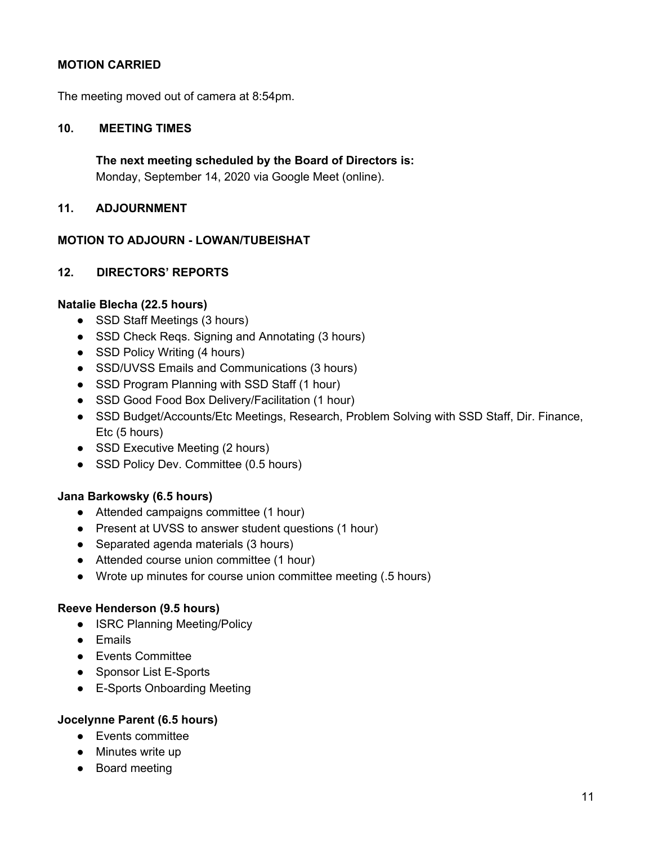### **MOTION CARRIED**

The meeting moved out of camera at 8:54pm.

#### **10. MEETING TIMES**

**The next meeting scheduled by the Board of Directors is:** Monday, September 14, 2020 via Google Meet (online).

#### **11. ADJOURNMENT**

#### **MOTION TO ADJOURN - LOWAN/TUBEISHAT**

#### **12. DIRECTORS' REPORTS**

#### **Natalie Blecha (22.5 hours)**

- SSD Staff Meetings (3 hours)
- SSD Check Reqs. Signing and Annotating (3 hours)
- SSD Policy Writing (4 hours)
- SSD/UVSS Emails and Communications (3 hours)
- SSD Program Planning with SSD Staff (1 hour)
- SSD Good Food Box Delivery/Facilitation (1 hour)
- SSD Budget/Accounts/Etc Meetings, Research, Problem Solving with SSD Staff, Dir. Finance, Etc (5 hours)
- SSD Executive Meeting (2 hours)
- SSD Policy Dev. Committee (0.5 hours)

#### **Jana Barkowsky (6.5 hours)**

- Attended campaigns committee (1 hour)
- Present at UVSS to answer student questions (1 hour)
- Separated agenda materials (3 hours)
- Attended course union committee (1 hour)
- Wrote up minutes for course union committee meeting (.5 hours)

#### **Reeve Henderson (9.5 hours)**

- ISRC Planning Meeting/Policy
- Emails
- Events Committee
- Sponsor List E-Sports
- E-Sports Onboarding Meeting

#### **Jocelynne Parent (6.5 hours)**

- Events committee
- Minutes write up
- Board meeting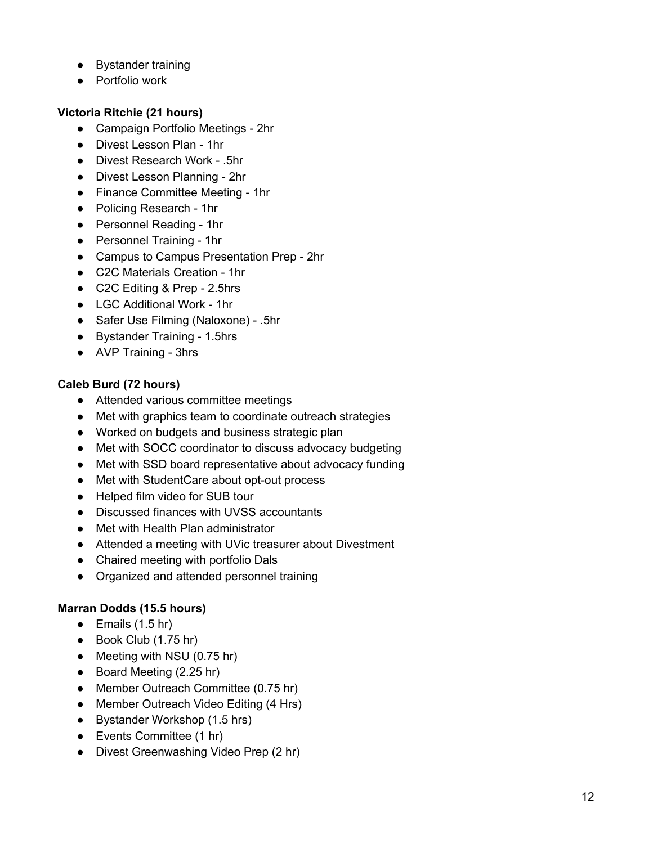- Bystander training
- Portfolio work

## **Victoria Ritchie (21 hours)**

- Campaign Portfolio Meetings 2hr
- Divest Lesson Plan 1hr
- Divest Research Work .5hr
- Divest Lesson Planning 2hr
- Finance Committee Meeting 1hr
- Policing Research 1hr
- Personnel Reading 1hr
- Personnel Training 1hr
- Campus to Campus Presentation Prep 2hr
- C2C Materials Creation 1hr
- C2C Editing & Prep 2.5hrs
- LGC Additional Work 1hr
- Safer Use Filming (Naloxone) .5hr
- Bystander Training 1.5hrs
- AVP Training 3hrs

## **Caleb Burd (72 hours)**

- Attended various committee meetings
- Met with graphics team to coordinate outreach strategies
- Worked on budgets and business strategic plan
- Met with SOCC coordinator to discuss advocacy budgeting
- Met with SSD board representative about advocacy funding
- Met with StudentCare about opt-out process
- Helped film video for SUB tour
- Discussed finances with UVSS accountants
- Met with Health Plan administrator
- Attended a meeting with UVic treasurer about Divestment
- Chaired meeting with portfolio Dals
- Organized and attended personnel training

# **Marran Dodds (15.5 hours)**

- $\bullet$  Emails (1.5 hr)
- Book Club (1.75 hr)
- Meeting with NSU (0.75 hr)
- Board Meeting (2.25 hr)
- Member Outreach Committee (0.75 hr)
- Member Outreach Video Editing (4 Hrs)
- Bystander Workshop (1.5 hrs)
- Events Committee (1 hr)
- Divest Greenwashing Video Prep (2 hr)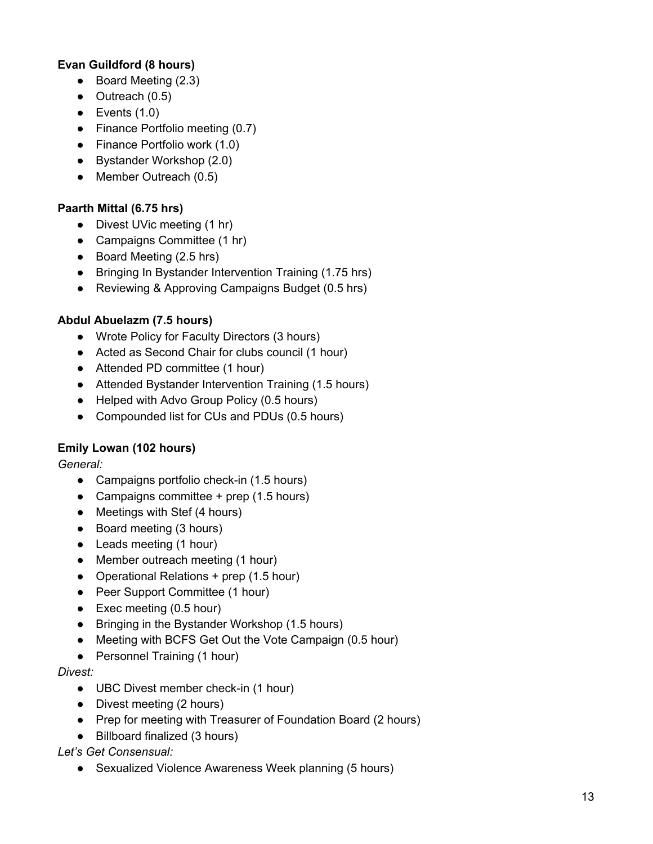## **Evan Guildford (8 hours)**

- Board Meeting (2.3)
- $\bullet$  Outreach (0.5)
- $\bullet$  Events  $(1.0)$
- Finance Portfolio meeting (0.7)
- Finance Portfolio work (1.0)
- Bystander Workshop (2.0)
- Member Outreach (0.5)

### **Paarth Mittal (6.75 hrs)**

- Divest UVic meeting (1 hr)
- Campaigns Committee (1 hr)
- Board Meeting (2.5 hrs)
- Bringing In Bystander Intervention Training (1.75 hrs)
- Reviewing & Approving Campaigns Budget (0.5 hrs)

## **Abdul Abuelazm (7.5 hours)**

- Wrote Policy for Faculty Directors (3 hours)
- Acted as Second Chair for clubs council (1 hour)
- Attended PD committee (1 hour)
- Attended Bystander Intervention Training (1.5 hours)
- Helped with Advo Group Policy (0.5 hours)
- Compounded list for CUs and PDUs (0.5 hours)

## **Emily Lowan (102 hours)**

*General:*

- Campaigns portfolio check-in (1.5 hours)
- Campaigns committee  $+$  prep (1.5 hours)
- Meetings with Stef (4 hours)
- Board meeting (3 hours)
- Leads meeting (1 hour)
- Member outreach meeting (1 hour)
- Operational Relations + prep (1.5 hour)
- Peer Support Committee (1 hour)
- $\bullet$  Exec meeting (0.5 hour)
- Bringing in the Bystander Workshop (1.5 hours)
- Meeting with BCFS Get Out the Vote Campaign (0.5 hour)
- Personnel Training (1 hour)

#### *Divest:*

- UBC Divest member check-in (1 hour)
- Divest meeting (2 hours)
- Prep for meeting with Treasurer of Foundation Board (2 hours)
- Billboard finalized (3 hours)

*Let's Get Consensual:*

• Sexualized Violence Awareness Week planning (5 hours)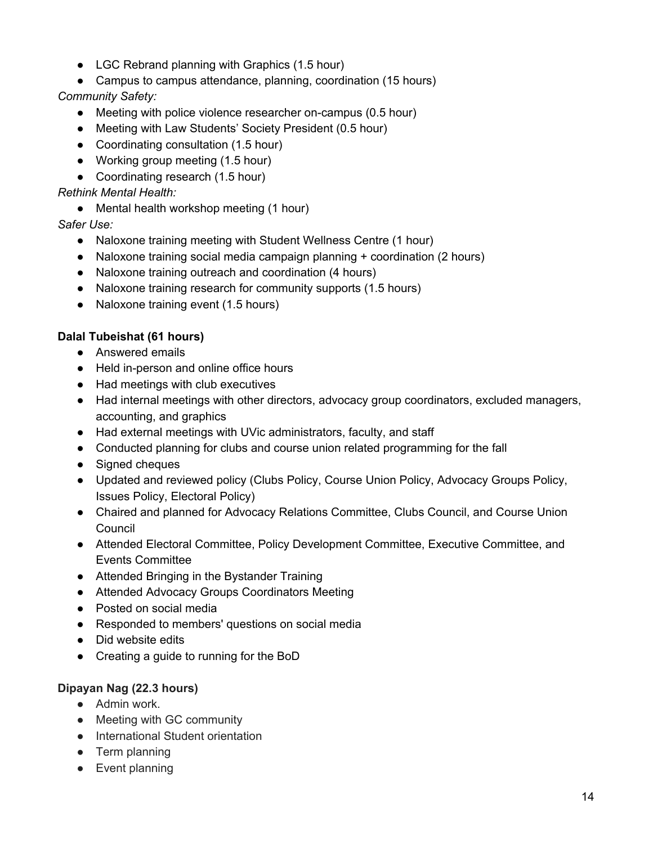- LGC Rebrand planning with Graphics (1.5 hour)
- Campus to campus attendance, planning, coordination (15 hours)

# *Community Safety:*

- Meeting with police violence researcher on-campus (0.5 hour)
- Meeting with Law Students' Society President (0.5 hour)
- Coordinating consultation (1.5 hour)
- Working group meeting (1.5 hour)
- Coordinating research (1.5 hour)

## *Rethink Mental Health:*

• Mental health workshop meeting (1 hour)

*Safer Use:*

- Naloxone training meeting with Student Wellness Centre (1 hour)
- Naloxone training social media campaign planning + coordination (2 hours)
- Naloxone training outreach and coordination (4 hours)
- Naloxone training research for community supports (1.5 hours)
- Naloxone training event (1.5 hours)

## **Dalal Tubeishat (61 hours)**

- Answered emails
- Held in-person and online office hours
- Had meetings with club executives
- Had internal meetings with other directors, advocacy group coordinators, excluded managers, accounting, and graphics
- Had external meetings with UVic administrators, faculty, and staff
- Conducted planning for clubs and course union related programming for the fall
- Signed cheques
- Updated and reviewed policy (Clubs Policy, Course Union Policy, Advocacy Groups Policy, Issues Policy, Electoral Policy)
- Chaired and planned for Advocacy Relations Committee, Clubs Council, and Course Union Council
- Attended Electoral Committee, Policy Development Committee, Executive Committee, and Events Committee
- Attended Bringing in the Bystander Training
- Attended Advocacy Groups Coordinators Meeting
- Posted on social media
- Responded to members' questions on social media
- Did website edits
- Creating a guide to running for the BoD

## **Dipayan Nag (22.3 hours)**

- Admin work.
- Meeting with GC community
- International Student orientation
- Term planning
- Event planning